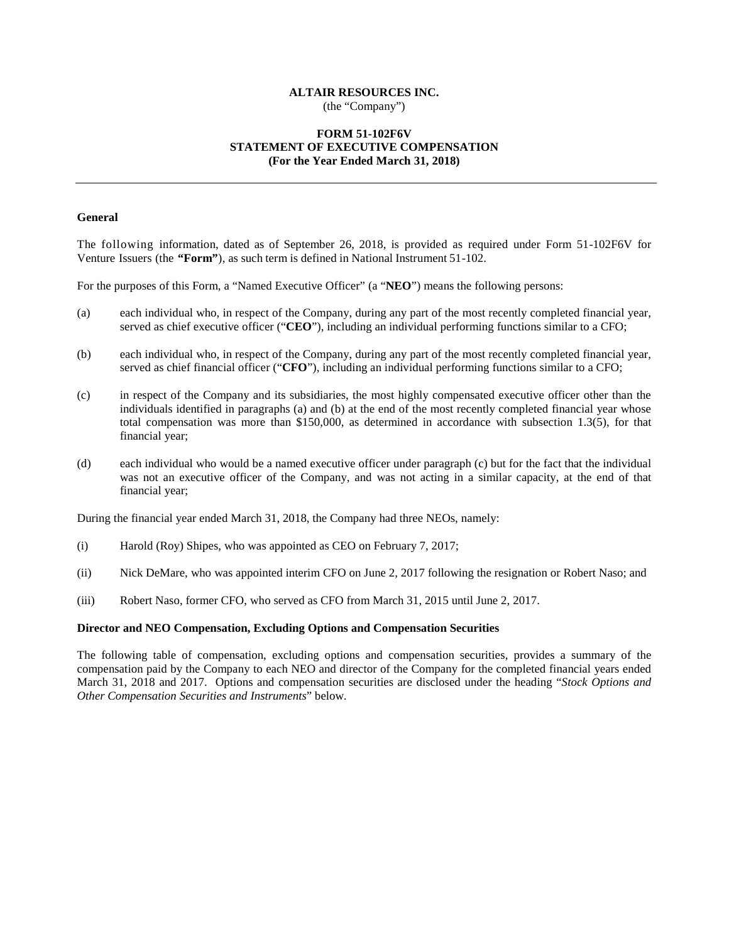# **ALTAIR RESOURCES INC.**

(the "Company")

# **FORM 51-102F6V STATEMENT OF EXECUTIVE COMPENSATION (For the Year Ended March 31, 2018)**

## **General**

The following information, dated as of September 26, 2018, is provided as required under Form 51-102F6V for Venture Issuers (the **"Form"**), as such term is defined in National Instrument 51-102.

For the purposes of this Form, a "Named Executive Officer" (a "**NEO**") means the following persons:

- (a) each individual who, in respect of the Company, during any part of the most recently completed financial year, served as chief executive officer ("**CEO**"), including an individual performing functions similar to a CFO;
- (b) each individual who, in respect of the Company, during any part of the most recently completed financial year, served as chief financial officer ("**CFO**"), including an individual performing functions similar to a CFO;
- (c) in respect of the Company and its subsidiaries, the most highly compensated executive officer other than the individuals identified in paragraphs (a) and (b) at the end of the most recently completed financial year whose total compensation was more than \$150,000, as determined in accordance with subsection 1.3(5), for that financial year;
- (d) each individual who would be a named executive officer under paragraph (c) but for the fact that the individual was not an executive officer of the Company, and was not acting in a similar capacity, at the end of that financial year;

During the financial year ended March 31, 2018, the Company had three NEOs, namely:

- (i) Harold (Roy) Shipes, who was appointed as CEO on February 7, 2017;
- (ii) Nick DeMare, who was appointed interim CFO on June 2, 2017 following the resignation or Robert Naso; and
- (iii) Robert Naso, former CFO, who served as CFO from March 31, 2015 until June 2, 2017.

## **Director and NEO Compensation, Excluding Options and Compensation Securities**

The following table of compensation, excluding options and compensation securities, provides a summary of the compensation paid by the Company to each NEO and director of the Company for the completed financial years ended March 31, 2018 and 2017. Options and compensation securities are disclosed under the heading "*Stock Options and Other Compensation Securities and Instruments*" below.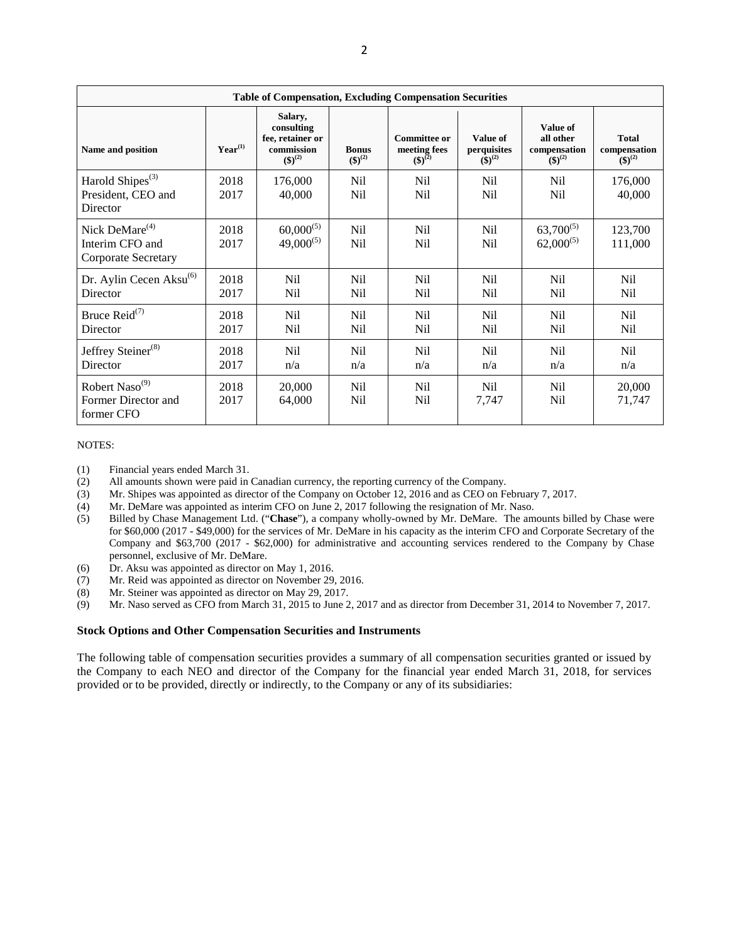| <b>Table of Compensation, Excluding Compensation Securities</b>             |              |                                                                           |                                    |                                                          |                                               |                                                      |                                                   |
|-----------------------------------------------------------------------------|--------------|---------------------------------------------------------------------------|------------------------------------|----------------------------------------------------------|-----------------------------------------------|------------------------------------------------------|---------------------------------------------------|
| Name and position                                                           | $Year^{(1)}$ | Salary,<br>consulting<br>fee, retainer or<br>commission<br>$({\$})^{(2)}$ | <b>Bonus</b><br>$({\$})^{(2)}$     | <b>Committee or</b><br>meeting fees<br>$({\bf 1})^{(2)}$ | Value of<br>perquisites<br>$(\bar{\$})^{(2)}$ | Value of<br>all other<br>compensation<br>$(5)^{(2)}$ | <b>Total</b><br>compensation<br>$({\bf 5})^{(2)}$ |
| Harold Shipes <sup>(3)</sup><br>President, CEO and<br>Director              | 2018<br>2017 | 176,000<br>40,000                                                         | Nil<br>Nil                         | Nil<br>Nil                                               | N <sub>il</sub><br>Nil                        | Nil<br>N <sub>il</sub>                               | 176,000<br>40,000                                 |
| Nick DeMare <sup>(4)</sup><br>Interim CFO and<br><b>Corporate Secretary</b> | 2018<br>2017 | $60,000^{(5)}$<br>$49,000^{(5)}$                                          | N <sub>il</sub><br>N <sub>il</sub> | N <sub>il</sub><br>N <sub>il</sub>                       | N <sub>il</sub><br>N <sub>il</sub>            | $63,700^{(5)}$<br>$62,000^{(5)}$                     | 123,700<br>111,000                                |
| Dr. Aylin Cecen Aksu $^{(6)}$<br>Director                                   | 2018<br>2017 | N <sub>il</sub><br>Nil                                                    | N <sub>il</sub><br>N <sub>il</sub> | N <sub>il</sub><br>N <sub>il</sub>                       | N <sub>il</sub><br>Nil                        | N <sub>il</sub><br>N <sub>il</sub>                   | N <sub>il</sub><br>N <sub>il</sub>                |
| Bruce $\text{Reid}^{(7)}$<br>Director                                       | 2018<br>2017 | N <sub>il</sub><br>Nil                                                    | N <sub>il</sub><br>N <sub>il</sub> | N <sub>il</sub><br>Nil                                   | Nil<br>Nil                                    | N <sub>il</sub><br>Nil                               | N <sub>il</sub><br>Nil                            |
| Jeffrey Steiner <sup>(8)</sup><br>Director                                  | 2018<br>2017 | <b>Nil</b><br>n/a                                                         | N <sub>il</sub><br>n/a             | N <sub>il</sub><br>n/a                                   | Nil<br>n/a                                    | <b>Nil</b><br>n/a                                    | Nil<br>n/a                                        |
| Robert Naso <sup>(9)</sup><br>Former Director and<br>former CFO             | 2018<br>2017 | 20,000<br>64,000                                                          | N <sub>il</sub><br>N <sub>il</sub> | N <sub>il</sub><br>N <sub>il</sub>                       | N <sub>il</sub><br>7,747                      | N <sub>il</sub><br>Nil                               | 20,000<br>71,747                                  |

## NOTES:

- (1) Financial years ended March 31.<br>(2) All amounts shown were paid in
- All amounts shown were paid in Canadian currency, the reporting currency of the Company.
- (3) Mr. Shipes was appointed as director of the Company on October 12, 2016 and as CEO on February 7, 2017.
- (4) Mr. DeMare was appointed as interim CFO on June 2, 2017 following the resignation of Mr. Naso.<br>(5) Billed by Chase Management Ltd. ("Chase"), a company wholly-owned by Mr. DeMare. The am
- (5) Billed by Chase Management Ltd. ("**Chase**"), a company wholly-owned by Mr. DeMare. The amounts billed by Chase were for \$60,000 (2017 - \$49,000) for the services of Mr. DeMare in his capacity as the interim CFO and Corporate Secretary of the Company and \$63,700 (2017 - \$62,000) for administrative and accounting services rendered to the Company by Chase personnel, exclusive of Mr. DeMare.
- (6) Dr. Aksu was appointed as director on May 1, 2016.
- (7) Mr. Reid was appointed as director on November 29, 2016.
- (8) Mr. Steiner was appointed as director on May 29, 2017.
- (9) Mr. Naso served as CFO from March 31, 2015 to June 2, 2017 and as director from December 31, 2014 to November 7, 2017.

#### **Stock Options and Other Compensation Securities and Instruments**

The following table of compensation securities provides a summary of all compensation securities granted or issued by the Company to each NEO and director of the Company for the financial year ended March 31, 2018, for services provided or to be provided, directly or indirectly, to the Company or any of its subsidiaries: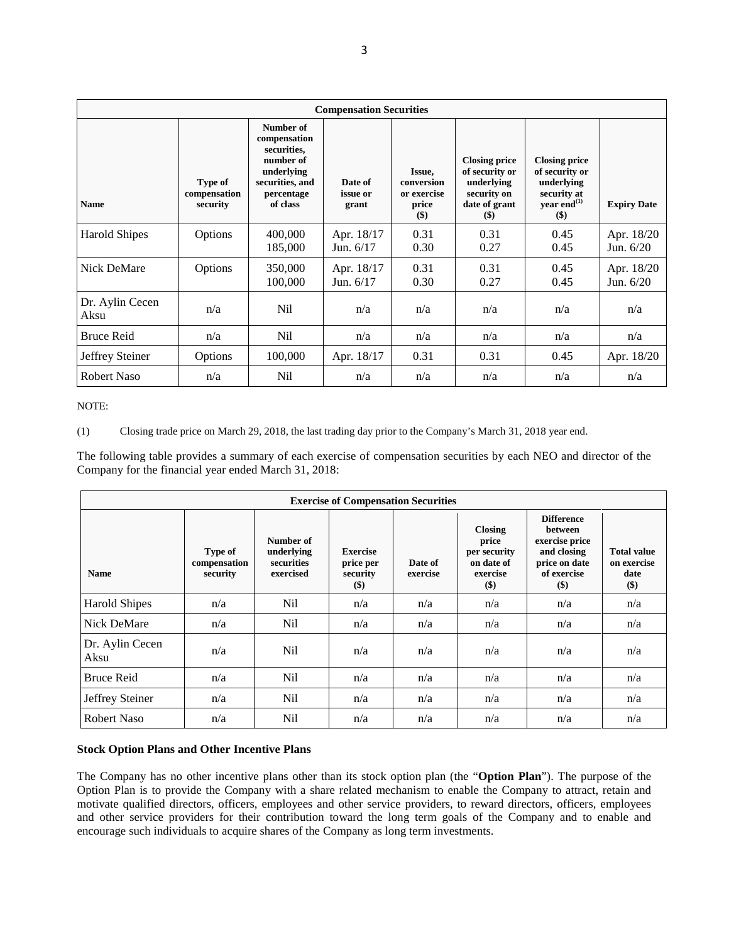| <b>Compensation Securities</b> |                                     |                                                                                                                  |                              |                                                     |                                                                                                |                                                                                                       |                           |  |
|--------------------------------|-------------------------------------|------------------------------------------------------------------------------------------------------------------|------------------------------|-----------------------------------------------------|------------------------------------------------------------------------------------------------|-------------------------------------------------------------------------------------------------------|---------------------------|--|
| <b>Name</b>                    | Type of<br>compensation<br>security | Number of<br>compensation<br>securities,<br>number of<br>underlying<br>securities, and<br>percentage<br>of class | Date of<br>issue or<br>grant | Issue,<br>conversion<br>or exercise<br>price<br>\$) | <b>Closing price</b><br>of security or<br>underlying<br>security on<br>date of grant<br>$(\$)$ | <b>Closing price</b><br>of security or<br>underlying<br>security at<br>year end <sup>(1)</sup><br>\$) | <b>Expiry Date</b>        |  |
| <b>Harold Shipes</b>           | Options                             | 400,000<br>185,000                                                                                               | Apr. 18/17<br>Jun. 6/17      | 0.31<br>0.30                                        | 0.31<br>0.27                                                                                   | 0.45<br>0.45                                                                                          | Apr. 18/20<br>Jun. $6/20$ |  |
| Nick DeMare                    | Options                             | 350,000<br>100,000                                                                                               | Apr. 18/17<br>Jun. $6/17$    | 0.31<br>0.30                                        | 0.31<br>0.27                                                                                   | 0.45<br>0.45                                                                                          | Apr. 18/20<br>Jun. $6/20$ |  |
| Dr. Aylin Cecen<br>Aksu        | n/a                                 | Nil                                                                                                              | n/a                          | n/a                                                 | n/a                                                                                            | n/a                                                                                                   | n/a                       |  |
| <b>Bruce Reid</b>              | n/a                                 | Nil                                                                                                              | n/a                          | n/a                                                 | n/a                                                                                            | n/a                                                                                                   | n/a                       |  |
| Jeffrey Steiner                | Options                             | 100,000                                                                                                          | Apr. 18/17                   | 0.31                                                | 0.31                                                                                           | 0.45                                                                                                  | Apr. 18/20                |  |
| <b>Robert Naso</b>             | n/a                                 | Nil                                                                                                              | n/a                          | n/a                                                 | n/a                                                                                            | n/a                                                                                                   | n/a                       |  |

# NOTE:

(1) Closing trade price on March 29, 2018, the last trading day prior to the Company's March 31, 2018 year end.

The following table provides a summary of each exercise of compensation securities by each NEO and director of the Company for the financial year ended March 31, 2018:

| <b>Exercise of Compensation Securities</b> |                                     |                                                    |                                                   |                     |                                                                            |                                                                                                               |                                                    |  |
|--------------------------------------------|-------------------------------------|----------------------------------------------------|---------------------------------------------------|---------------------|----------------------------------------------------------------------------|---------------------------------------------------------------------------------------------------------------|----------------------------------------------------|--|
| <b>Name</b>                                | Type of<br>compensation<br>security | Number of<br>underlying<br>securities<br>exercised | <b>Exercise</b><br>price per<br>security<br>$($)$ | Date of<br>exercise | <b>Closing</b><br>price<br>per security<br>on date of<br>exercise<br>$($)$ | <b>Difference</b><br><b>between</b><br>exercise price<br>and closing<br>price on date<br>of exercise<br>$($)$ | <b>Total value</b><br>on exercise<br>date<br>$($)$ |  |
| <b>Harold Shipes</b>                       | n/a                                 | Nil                                                | n/a                                               | n/a                 | n/a                                                                        | n/a                                                                                                           | n/a                                                |  |
| Nick DeMare                                | n/a                                 | N <sub>il</sub>                                    | n/a                                               | n/a                 | n/a                                                                        | n/a                                                                                                           | n/a                                                |  |
| Dr. Aylin Cecen<br>Aksu                    | n/a                                 | N <sub>i</sub>                                     | n/a                                               | n/a                 | n/a                                                                        | n/a                                                                                                           | n/a                                                |  |
| <b>Bruce Reid</b>                          | n/a                                 | Nil                                                | n/a                                               | n/a                 | n/a                                                                        | n/a                                                                                                           | n/a                                                |  |
| Jeffrey Steiner                            | n/a                                 | N <sub>il</sub>                                    | n/a                                               | n/a                 | n/a                                                                        | n/a                                                                                                           | n/a                                                |  |
| <b>Robert Naso</b>                         | n/a                                 | Nil                                                | n/a                                               | n/a                 | n/a                                                                        | n/a                                                                                                           | n/a                                                |  |

## **Stock Option Plans and Other Incentive Plans**

The Company has no other incentive plans other than its stock option plan (the "**Option Plan**"). The purpose of the Option Plan is to provide the Company with a share related mechanism to enable the Company to attract, retain and motivate qualified directors, officers, employees and other service providers, to reward directors, officers, employees and other service providers for their contribution toward the long term goals of the Company and to enable and encourage such individuals to acquire shares of the Company as long term investments.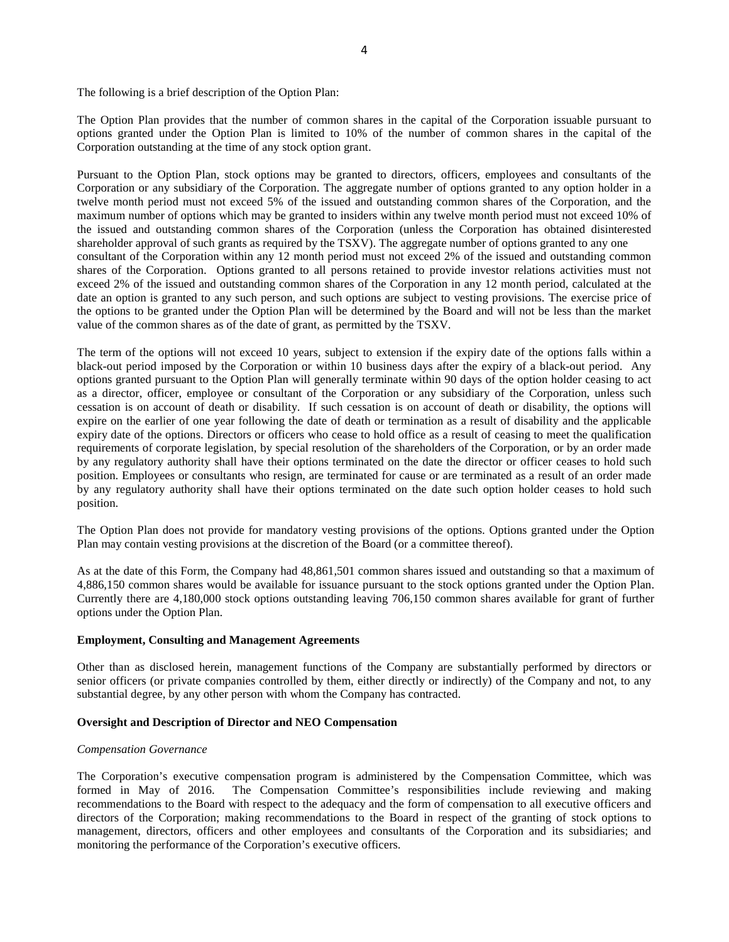The following is a brief description of the Option Plan:

The Option Plan provides that the number of common shares in the capital of the Corporation issuable pursuant to options granted under the Option Plan is limited to 10% of the number of common shares in the capital of the Corporation outstanding at the time of any stock option grant.

Pursuant to the Option Plan, stock options may be granted to directors, officers, employees and consultants of the Corporation or any subsidiary of the Corporation. The aggregate number of options granted to any option holder in a twelve month period must not exceed 5% of the issued and outstanding common shares of the Corporation, and the maximum number of options which may be granted to insiders within any twelve month period must not exceed 10% of the issued and outstanding common shares of the Corporation (unless the Corporation has obtained disinterested shareholder approval of such grants as required by the TSXV). The aggregate number of options granted to any one consultant of the Corporation within any 12 month period must not exceed 2% of the issued and outstanding common shares of the Corporation. Options granted to all persons retained to provide investor relations activities must not exceed 2% of the issued and outstanding common shares of the Corporation in any 12 month period, calculated at the date an option is granted to any such person, and such options are subject to vesting provisions. The exercise price of the options to be granted under the Option Plan will be determined by the Board and will not be less than the market value of the common shares as of the date of grant, as permitted by the TSXV.

The term of the options will not exceed 10 years, subject to extension if the expiry date of the options falls within a black-out period imposed by the Corporation or within 10 business days after the expiry of a black-out period. Any options granted pursuant to the Option Plan will generally terminate within 90 days of the option holder ceasing to act as a director, officer, employee or consultant of the Corporation or any subsidiary of the Corporation, unless such cessation is on account of death or disability. If such cessation is on account of death or disability, the options will expire on the earlier of one year following the date of death or termination as a result of disability and the applicable expiry date of the options. Directors or officers who cease to hold office as a result of ceasing to meet the qualification requirements of corporate legislation, by special resolution of the shareholders of the Corporation, or by an order made by any regulatory authority shall have their options terminated on the date the director or officer ceases to hold such position. Employees or consultants who resign, are terminated for cause or are terminated as a result of an order made by any regulatory authority shall have their options terminated on the date such option holder ceases to hold such position.

The Option Plan does not provide for mandatory vesting provisions of the options. Options granted under the Option Plan may contain vesting provisions at the discretion of the Board (or a committee thereof).

As at the date of this Form, the Company had 48,861,501 common shares issued and outstanding so that a maximum of 4,886,150 common shares would be available for issuance pursuant to the stock options granted under the Option Plan. Currently there are 4,180,000 stock options outstanding leaving 706,150 common shares available for grant of further options under the Option Plan.

#### **Employment, Consulting and Management Agreements**

Other than as disclosed herein, management functions of the Company are substantially performed by directors or senior officers (or private companies controlled by them, either directly or indirectly) of the Company and not, to any substantial degree, by any other person with whom the Company has contracted.

#### **Oversight and Description of Director and NEO Compensation**

#### *Compensation Governance*

The Corporation's executive compensation program is administered by the Compensation Committee, which was formed in May of 2016. The Compensation Committee's responsibilities include reviewing and making recommendations to the Board with respect to the adequacy and the form of compensation to all executive officers and directors of the Corporation; making recommendations to the Board in respect of the granting of stock options to management, directors, officers and other employees and consultants of the Corporation and its subsidiaries; and monitoring the performance of the Corporation's executive officers.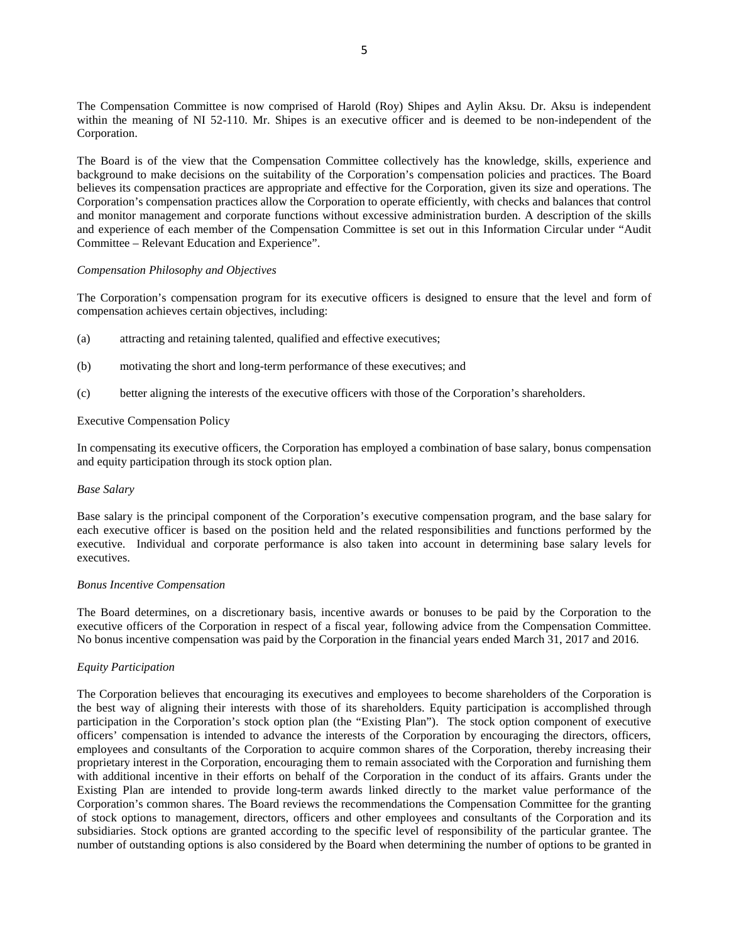The Compensation Committee is now comprised of Harold (Roy) Shipes and Aylin Aksu. Dr. Aksu is independent within the meaning of NI 52-110. Mr. Shipes is an executive officer and is deemed to be non-independent of the Corporation.

The Board is of the view that the Compensation Committee collectively has the knowledge, skills, experience and background to make decisions on the suitability of the Corporation's compensation policies and practices. The Board believes its compensation practices are appropriate and effective for the Corporation, given its size and operations. The Corporation's compensation practices allow the Corporation to operate efficiently, with checks and balances that control and monitor management and corporate functions without excessive administration burden. A description of the skills and experience of each member of the Compensation Committee is set out in this Information Circular under "Audit Committee – Relevant Education and Experience".

## *Compensation Philosophy and Objectives*

The Corporation's compensation program for its executive officers is designed to ensure that the level and form of compensation achieves certain objectives, including:

- (a) attracting and retaining talented, qualified and effective executives;
- (b) motivating the short and long-term performance of these executives; and
- (c) better aligning the interests of the executive officers with those of the Corporation's shareholders.

### Executive Compensation Policy

In compensating its executive officers, the Corporation has employed a combination of base salary, bonus compensation and equity participation through its stock option plan.

#### *Base Salary*

Base salary is the principal component of the Corporation's executive compensation program, and the base salary for each executive officer is based on the position held and the related responsibilities and functions performed by the executive. Individual and corporate performance is also taken into account in determining base salary levels for executives.

#### *Bonus Incentive Compensation*

The Board determines, on a discretionary basis, incentive awards or bonuses to be paid by the Corporation to the executive officers of the Corporation in respect of a fiscal year, following advice from the Compensation Committee. No bonus incentive compensation was paid by the Corporation in the financial years ended March 31, 2017 and 2016.

## *Equity Participation*

The Corporation believes that encouraging its executives and employees to become shareholders of the Corporation is the best way of aligning their interests with those of its shareholders. Equity participation is accomplished through participation in the Corporation's stock option plan (the "Existing Plan"). The stock option component of executive officers' compensation is intended to advance the interests of the Corporation by encouraging the directors, officers, employees and consultants of the Corporation to acquire common shares of the Corporation, thereby increasing their proprietary interest in the Corporation, encouraging them to remain associated with the Corporation and furnishing them with additional incentive in their efforts on behalf of the Corporation in the conduct of its affairs. Grants under the Existing Plan are intended to provide long-term awards linked directly to the market value performance of the Corporation's common shares. The Board reviews the recommendations the Compensation Committee for the granting of stock options to management, directors, officers and other employees and consultants of the Corporation and its subsidiaries. Stock options are granted according to the specific level of responsibility of the particular grantee. The number of outstanding options is also considered by the Board when determining the number of options to be granted in